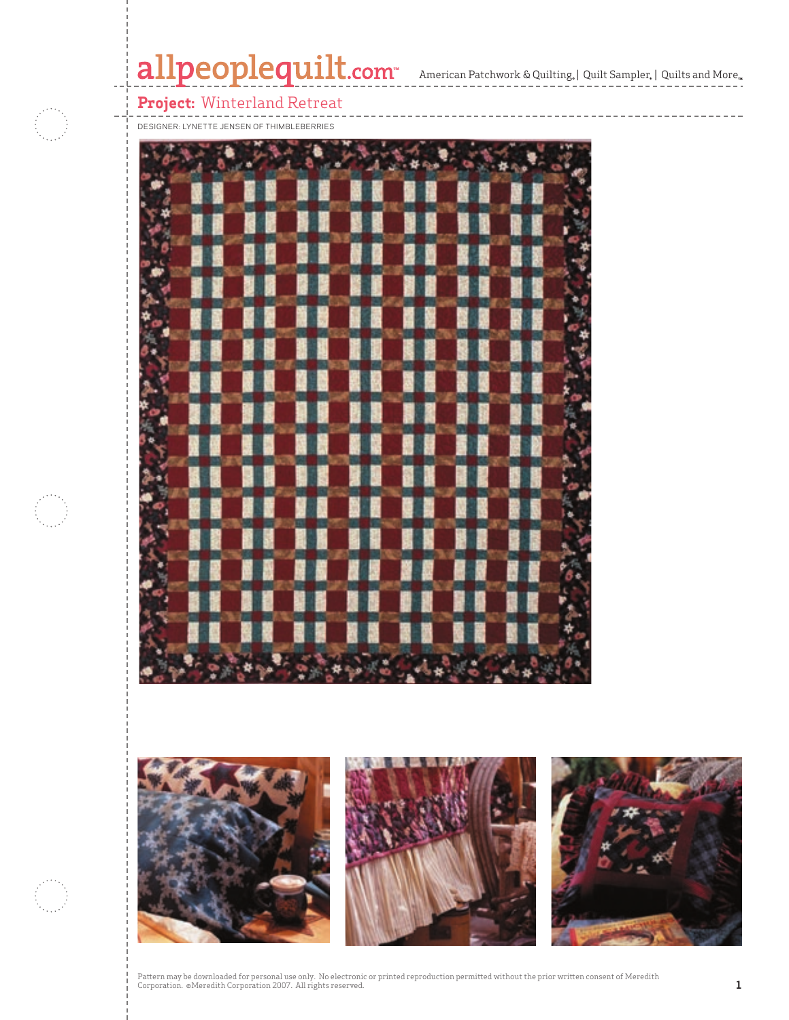# allpeoplequilt.com<sup>®</sup> American Patchwork & Quilting.| Quilt Sampler.| Quilts and More..

--------------



## **Project:** Winterland Retreat

DESIGNER: LYNETTE JENSEN OF THIMBLEBERRIES





Pattern may be downloaded for personal use only. No electronic or printed reproduction permitted without the prior written consent of Meredith<br>Corporation. ©Meredith Corporation 2007. All rights reserved.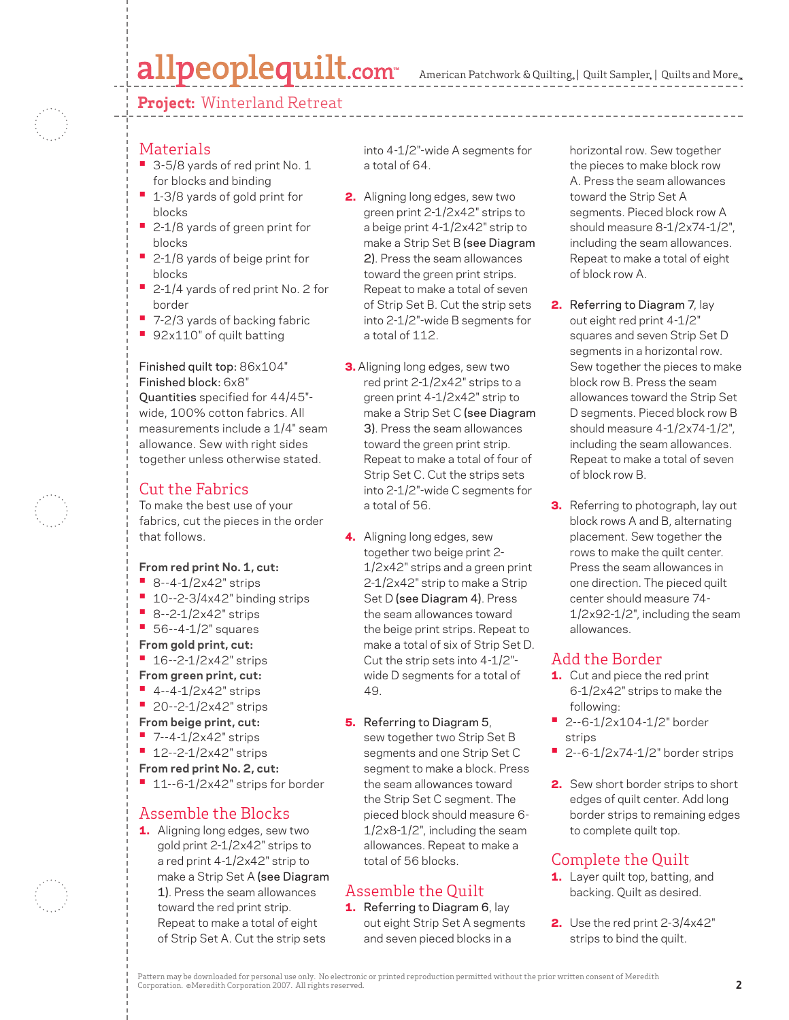# allpeoplequilt.com

American Patchwork & Quilting,  $|$  Quilt Sampler,  $|$  Quilts and More,

**Project:** Winterland Retreat



## **Materials**

- 3-5/8 yards of red print No. 1 for blocks and binding
- 1-3/8 yards of gold print for blocks
- 2-1/8 yards of green print for blocks
- 2-1/8 yards of beige print for blocks
- 2-1/4 yards of red print No. 2 for border
- 7-2/3 yards of backing fabric
- 92x110" of quilt batting

### Finished quilt top: 86x104" Finished block: 6x8"

Quantities specified for 44/45" wide, 100% cotton fabrics. All measurements include a 1/4" seam allowance. Sew with right sides together unless otherwise stated.

## Cut the Fabrics

To make the best use of your fabrics, cut the pieces in the order that follows.

#### **From red print No. 1, cut:**

- 8--4-1/2x42" strips
- 10--2-3/4x42" binding strips
- 8--2-1/2x42" strips
- 56--4-1/2" squares

#### **From gold print, cut:**

- 16--2-1/2x42" strips
- **From green print, cut:**
- 4--4-1/2x42" strips
- 20--2-1/2x42" strips
- **From beige print, cut:**
- 7--4-1/2x42" strips
- 12--2-1/2x42" strips
- **From red print No. 2, cut:**
- 11--6-1/2x42" strips for border

## Assemble the Blocks

1. Aligning long edges, sew two gold print 2-1/2x42" strips to a red print 4-1/2x42" strip to make a Strip Set A (see Diagram 1). Press the seam allowances toward the red print strip. Repeat to make a total of eight of Strip Set A. Cut the strip sets

into 4-1/2"-wide A segments for a total of 64.

- 2. Aligning long edges, sew two green print 2-1/2x42" strips to a beige print 4-1/2x42" strip to make a Strip Set B (see Diagram 2). Press the seam allowances toward the green print strips. Repeat to make a total of seven of Strip Set B. Cut the strip sets into 2-1/2"-wide B segments for a total of 112.
- 3. Aligning long edges, sew two red print 2-1/2x42" strips to a green print 4-1/2x42" strip to make a Strip Set C (see Diagram 3). Press the seam allowances toward the green print strip. Repeat to make a total of four of Strip Set C. Cut the strips sets into 2-1/2"-wide C segments for a total of 56.
- 4. Aligning long edges, sew together two beige print 2- 1/2x42" strips and a green print 2-1/2x42" strip to make a Strip Set D (see Diagram 4). Press the seam allowances toward the beige print strips. Repeat to make a total of six of Strip Set D. Cut the strip sets into 4-1/2" wide D segments for a total of 49.
- 5. Referring to Diagram 5, sew together two Strip Set B segments and one Strip Set C segment to make a block. Press the seam allowances toward the Strip Set C segment. The pieced block should measure 6- 1/2x8-1/2", including the seam allowances. Repeat to make a

## Assemble the Quilt

total of 56 blocks.

**1.** Referring to Diagram 6, lay out eight Strip Set A segments and seven pieced blocks in a

horizontal row. Sew together the pieces to make block row A. Press the seam allowances toward the Strip Set A segments. Pieced block row A should measure 8-1/2x74-1/2", including the seam allowances. Repeat to make a total of eight of block row A.

- **2.** Referring to Diagram 7, lay out eight red print 4-1/2" squares and seven Strip Set D segments in a horizontal row. Sew together the pieces to make block row B. Press the seam allowances toward the Strip Set D segments. Pieced block row B should measure 4-1/2x74-1/2", including the seam allowances. Repeat to make a total of seven of block row B.
- **3.** Referring to photograph, lay out block rows A and B, alternating placement. Sew together the rows to make the quilt center. Press the seam allowances in one direction. The pieced quilt center should measure 74- 1/2x92-1/2", including the seam allowances.

## Add the Border

- **1.** Cut and piece the red print 6-1/2x42" strips to make the following:
- 2--6-1/2x104-1/2" border strips
- 2--6-1/2x74-1/2" border strips
- 2. Sew short border strips to short edges of quilt center. Add long border strips to remaining edges to complete quilt top.

## Complete the Quilt

- **1.** Layer quilt top, batting, and backing. Quilt as desired.
- 2. Use the red print 2-3/4x42" strips to bind the quilt.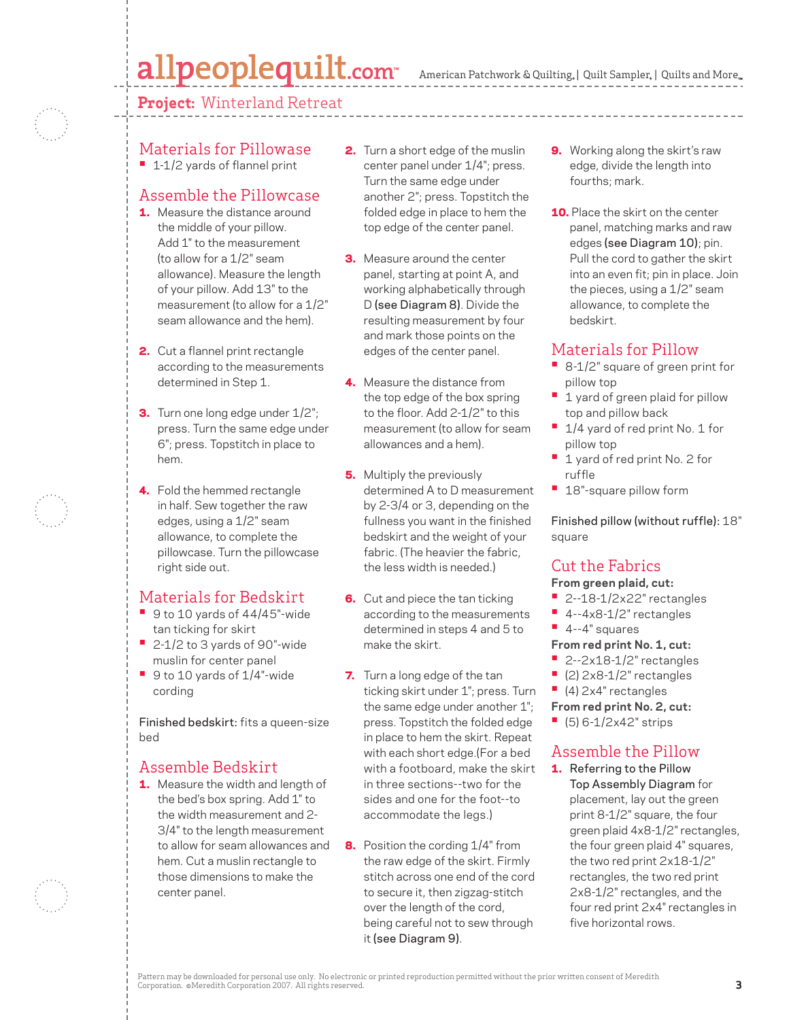# allpeoplequilt.com

American Patchwork & Quilting,  $|$  Quilt Sampler,  $|$  Quilts and More,

**Project:** Winterland Retreat

#### Materials for Pillowase **•** 1-1/2 yards of flannel print

## Assemble the Pillowcase

- **1.** Measure the distance around the middle of your pillow. Add 1" to the measurement (to allow for a 1/2" seam allowance). Measure the length of your pillow. Add 13" to the measurement (to allow for a 1/2" seam allowance and the hem).
- 2. Cut a flannel print rectangle according to the measurements determined in Step 1.
- **3.** Turn one long edge under  $1/2$ "; press. Turn the same edge under 6"; press. Topstitch in place to hem.
- 4. Fold the hemmed rectangle in half. Sew together the raw edges, using a 1/2" seam allowance, to complete the pillowcase. Turn the pillowcase right side out.

## Materials for Bedskirt

- 9 to 10 yards of 44/45"-wide tan ticking for skirt
- 2-1/2 to 3 yards of 90"-wide muslin for center panel
- 9 to 10 yards of 1/4"-wide cording

Finished bedskirt: fits a queen-size bed

## Assemble Bedskirt

**1.** Measure the width and length of the bed's box spring. Add 1" to the width measurement and 2- 3/4" to the length measurement to allow for seam allowances and hem. Cut a muslin rectangle to those dimensions to make the center panel.

- **2.** Turn a short edge of the muslin center panel under 1/4"; press. Turn the same edge under another 2"; press. Topstitch the folded edge in place to hem the top edge of the center panel.
- **3.** Measure around the center panel, starting at point A, and working alphabetically through D (see Diagram 8). Divide the resulting measurement by four and mark those points on the edges of the center panel.
- 4. Measure the distance from the top edge of the box spring to the floor. Add 2-1/2" to this measurement (to allow for seam allowances and a hem).
- **5.** Multiply the previously determined A to D measurement by 2-3/4 or 3, depending on the fullness you want in the finished bedskirt and the weight of your fabric. (The heavier the fabric, the less width is needed.)
- **6.** Cut and piece the tan ticking according to the measurements determined in steps 4 and 5 to make the skirt.
- 7. Turn a long edge of the tan ticking skirt under 1"; press. Turn the same edge under another 1"; press. Topstitch the folded edge in place to hem the skirt. Repeat with each short edge.(For a bed with a footboard, make the skirt in three sections--two for the sides and one for the foot--to accommodate the legs.)
- 8. Position the cording 1/4" from the raw edge of the skirt. Firmly stitch across one end of the cord to secure it, then zigzag-stitch over the length of the cord, being careful not to sew through it (see Diagram 9).
- 9. Working along the skirt's raw edge, divide the length into fourths; mark.
- **10.** Place the skirt on the center panel, matching marks and raw edges (see Diagram 10); pin. Pull the cord to gather the skirt into an even fit; pin in place. Join the pieces, using a 1/2" seam allowance, to complete the bedskirt.

## Materials for Pillow

- 8-1/2" square of green print for pillow top
- 1 yard of green plaid for pillow top and pillow back
- 1/4 yard of red print No. 1 for pillow top
- 1 yard of red print No. 2 for ruffle
- 18"-square pillow form

Finished pillow (without ruffle): 18" square

## Cut the Fabrics

#### **From green plaid, cut:**

- 2--18-1/2x22" rectangles
- 4--4x8-1/2" rectangles
- 4--4" squares

#### **From red print No. 1, cut:**

- 2--2x18-1/2" rectangles
- (2) 2x8-1/2" rectangles
- (4) 2x4" rectangles
- **From red print No. 2, cut:**
- (5) 6-1/2x42" strips

## Assemble the Pillow

**1.** Referring to the Pillow Top Assembly Diagram for placement, lay out the green print 8-1/2" square, the four green plaid 4x8-1/2" rectangles, the four green plaid 4" squares, the two red print 2x18-1/2" rectangles, the two red print 2x8-1/2" rectangles, and the four red print 2x4" rectangles in five horizontal rows.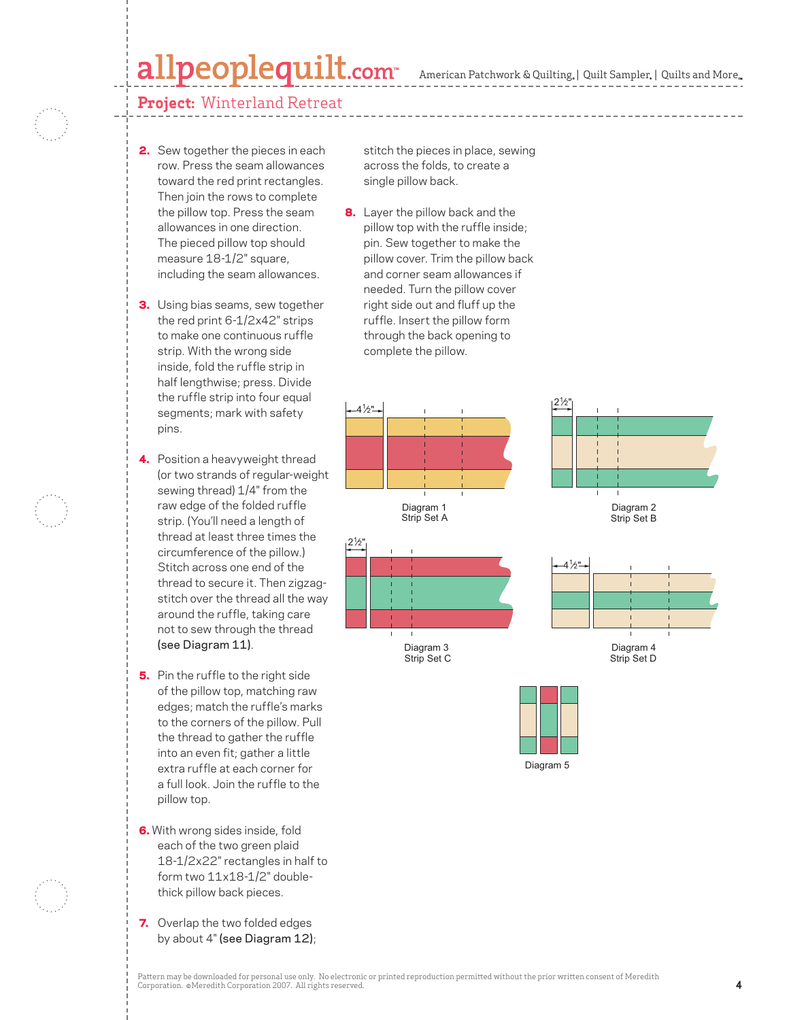# $all peoplequilt.com$

 $\mbox{American }$  Patchwork<br>  $\&$  Quilting,  $\mid$  Quilt Sampler,<br>  $\mid$  Quilts and More...

## **Project:** Winterland Retreat

- 2. Sew together the pieces in each row. Press the seam allowances toward the red print rectangles. Then join the rows to complete the pillow top. Press the seam allowances in one direction. The pieced pillow top should measure 18-1/2" square, including the seam allowances.
- **3.** Using bias seams, sew together the red print 6-1/2x42" strips to make one continuous ruffle strip. With the wrong side inside, fold the ruffle strip in half lengthwise; press. Divide the ruffle strip into four equal segments; mark with safety pins.
- 4. Position a heavyweight thread (or two strands of regular-weight sewing thread) 1/4" from the raw edge of the folded ruffle strip. (You'll need a length of thread at least three times the circumference of the pillow.) Stitch across one end of the thread to secure it. Then zigzagstitch over the thread all the way around the ruffle, taking care not to sew through the thread (see Diagram 11).
- **5.** Pin the ruffle to the right side of the pillow top, matching raw edges; match the ruffle's marks to the corners of the pillow. Pull the thread to gather the ruffle into an even fit; gather a little extra ruffle at each corner for a full look. Join the ruffle to the pillow top.
- 6. With wrong sides inside, fold each of the two green plaid 18-1/2x22" rectangles in half to form two 11x18-1/2" doublethick pillow back pieces.
- **7.** Overlap the two folded edges by about 4" (see Diagram 12);

stitch the pieces in place, sewing across the folds, to create a single pillow back.

8. Layer the pillow back and the pillow top with the ruffle inside; pin. Sew together to make the pillow cover. Trim the pillow back and corner seam allowances if needed. Turn the pillow cover right side out and fluff up the ruffle. Insert the pillow form through the back opening to complete the pillow.